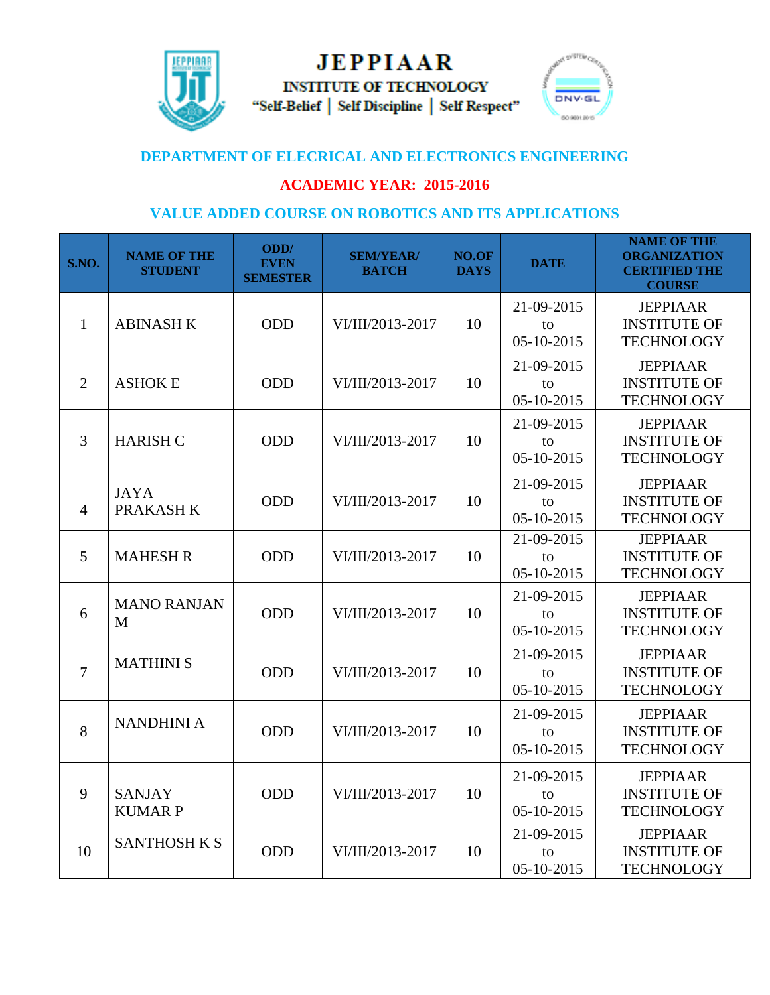

**JEPPIAAR INSTITUTE OF TECHNOLOGY** "Self-Belief | Self Discipline | Self Respect"



## **DEPARTMENT OF ELECRICAL AND ELECTRONICS ENGINEERING**

## **ACADEMIC YEAR: 2015-2016**

## **VALUE ADDED COURSE ON ROBOTICS AND ITS APPLICATIONS**

| S.NO.          | <b>NAME OF THE</b><br><b>STUDENT</b> | ODD/<br><b>EVEN</b><br><b>SEMESTER</b> | <b>SEM/YEAR/</b><br><b>BATCH</b> | NO.OF<br><b>DAYS</b> | <b>DATE</b>                      | <b>NAME OF THE</b><br><b>ORGANIZATION</b><br><b>CERTIFIED THE</b><br><b>COURSE</b> |
|----------------|--------------------------------------|----------------------------------------|----------------------------------|----------------------|----------------------------------|------------------------------------------------------------------------------------|
| 1              | <b>ABINASH K</b>                     | <b>ODD</b>                             | VI/III/2013-2017                 | 10                   | 21-09-2015<br>to<br>$05-10-2015$ | <b>JEPPIAAR</b><br><b>INSTITUTE OF</b><br><b>TECHNOLOGY</b>                        |
| $\overline{2}$ | <b>ASHOK E</b>                       | ODD                                    | VI/III/2013-2017                 | 10                   | 21-09-2015<br>to<br>05-10-2015   | <b>JEPPIAAR</b><br><b>INSTITUTE OF</b><br><b>TECHNOLOGY</b>                        |
| 3              | <b>HARISH C</b>                      | <b>ODD</b>                             | VI/III/2013-2017                 | 10                   | 21-09-2015<br>to<br>05-10-2015   | <b>JEPPIAAR</b><br><b>INSTITUTE OF</b><br><b>TECHNOLOGY</b>                        |
| $\overline{4}$ | <b>JAYA</b><br>PRAKASH K             | <b>ODD</b>                             | VI/III/2013-2017                 | 10                   | 21-09-2015<br>to<br>$05-10-2015$ | <b>JEPPIAAR</b><br><b>INSTITUTE OF</b><br><b>TECHNOLOGY</b>                        |
| 5              | <b>MAHESH R</b>                      | ODD                                    | VI/III/2013-2017                 | 10                   | 21-09-2015<br>to<br>05-10-2015   | <b>JEPPIAAR</b><br><b>INSTITUTE OF</b><br><b>TECHNOLOGY</b>                        |
| 6              | <b>MANO RANJAN</b><br>M              | <b>ODD</b>                             | VI/III/2013-2017                 | 10                   | 21-09-2015<br>to<br>$05-10-2015$ | <b>JEPPIAAR</b><br><b>INSTITUTE OF</b><br><b>TECHNOLOGY</b>                        |
| $\overline{7}$ | <b>MATHINI S</b>                     | <b>ODD</b>                             | VI/III/2013-2017                 | 10                   | 21-09-2015<br>to<br>05-10-2015   | <b>JEPPIAAR</b><br><b>INSTITUTE OF</b><br><b>TECHNOLOGY</b>                        |
| 8              | <b>NANDHINI A</b>                    | <b>ODD</b>                             | VI/III/2013-2017                 | 10                   | 21-09-2015<br>to<br>05-10-2015   | <b>JEPPIAAR</b><br><b>INSTITUTE OF</b><br><b>TECHNOLOGY</b>                        |
| 9              | <b>SANJAY</b><br><b>KUMARP</b>       | <b>ODD</b>                             | VI/III/2013-2017                 | 10                   | 21-09-2015<br>to<br>05-10-2015   | <b>JEPPIAAR</b><br><b>INSTITUTE OF</b><br><b>TECHNOLOGY</b>                        |
| 10             | <b>SANTHOSH K S</b>                  | <b>ODD</b>                             | VI/III/2013-2017                 | 10                   | 21-09-2015<br>to<br>05-10-2015   | <b>JEPPIAAR</b><br><b>INSTITUTE OF</b><br><b>TECHNOLOGY</b>                        |